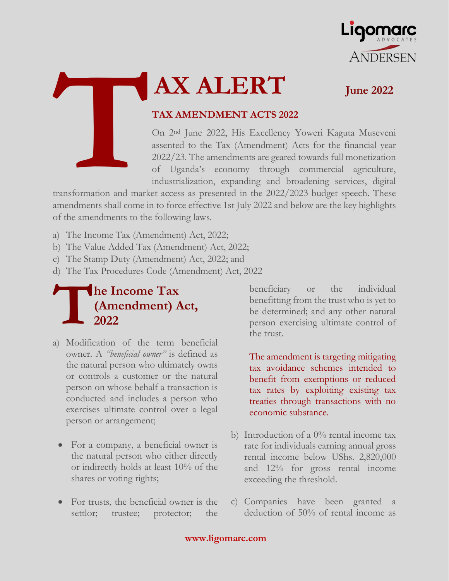



# **AX ALERT June 2022**

#### **TAX AMENDMENT ACTS 2022**

On 2nd June 2022, His Excellency Yoweri Kaguta Museveni assented to the Tax (Amendment) Acts for the financial year 2022/23. The amendments are geared towards full monetization of Uganda's economy through commercial agriculture, industrialization, expanding and broadening services, digital

transformation and market access as presented in the 2022/2023 budget speech. These amendments shall come in to force effective 1st July 2022 and below are the key highlights of the amendments to the following laws.

- a) The Income Tax (Amendment) Act, 2022;
- b) The Value Added Tax (Amendment) Act, 2022;
- c) The Stamp Duty (Amendment) Act, 2022; and
- d) The Tax Procedures Code (Amendment) Act, 2022

### **he Income Tax (Amendment) Act, 2022 T**

- a) Modification of the term beneficial owner. A *"beneficial owner"* is defined as the natural person who ultimately owns or controls a customer or the natural person on whose behalf a transaction is conducted and includes a person who exercises ultimate control over a legal person or arrangement;
	- For a company, a beneficial owner is the natural person who either directly or indirectly holds at least 10% of the shares or voting rights;
	- For trusts, the beneficial owner is the settlor; trustee; protector; the

beneficiary or the individual benefitting from the trust who is yet to be determined; and any other natural person exercising ultimate control of the trust.

The amendment is targeting mitigating tax avoidance schemes intended to benefit from exemptions or reduced tax rates by exploiting existing tax treaties through transactions with no economic substance.

- b) Introduction of a  $0\%$  rental income tax rate for individuals earning annual gross rental income below UShs. 2,820,000 and 12% for gross rental income exceeding the threshold.
- c) Companies have been granted a deduction of 50% of rental income as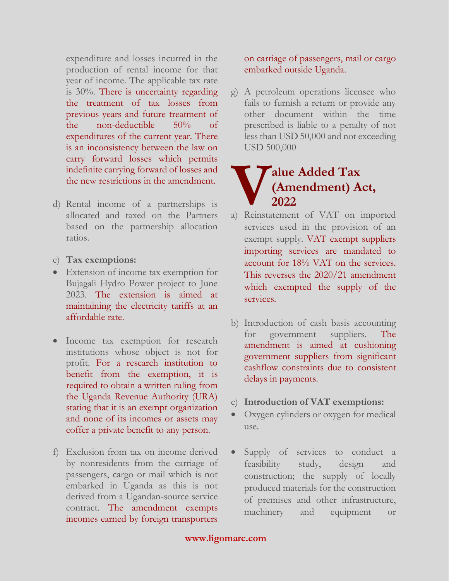expenditure and losses incurred in the production of rental income for that year of income. The applicable tax rate is 30%. There is uncertainty regarding the treatment of tax losses from previous years and future treatment of the non-deductible 50% of expenditures of the current year. There is an inconsistency between the law on carry forward losses which permits indefinite carrying forward of losses and the new restrictions in the amendment.

- d) Rental income of a partnerships is allocated and taxed on the Partners based on the partnership allocation ratios.
- e) **Tax exemptions:**
- Extension of income tax exemption for Bujagali Hydro Power project to June 2023. The extension is aimed at maintaining the electricity tariffs at an affordable rate.
- Income tax exemption for research institutions whose object is not for profit. For a research institution to benefit from the exemption, it is required to obtain a written ruling from the Uganda Revenue Authority (URA) stating that it is an exempt organization and none of its incomes or assets may coffer a private benefit to any person.
- f) Exclusion from tax on income derived by nonresidents from the carriage of passengers, cargo or mail which is not embarked in Uganda as this is not derived from a Ugandan-source service contract. The amendment exempts incomes earned by foreign transporters

on carriage of passengers, mail or cargo embarked outside Uganda.

g) A petroleum operations licensee who fails to furnish a return or provide any other document within the time prescribed is liable to a penalty of not less than USD 50,000 and not exceeding USD 500,000

# **alue Added Tax (Amendment) Act, 2022 Alue Added Tax**<br> **(Amendment) Act,**<br> **2022**<br> **a)** Reinstatement of VAT on imported

- services used in the provision of an exempt supply. VAT exempt suppliers importing services are mandated to account for 18% VAT on the services. This reverses the 2020/21 amendment which exempted the supply of the services.
- b) Introduction of cash basis accounting for government suppliers. The amendment is aimed at cushioning government suppliers from significant cashflow constraints due to consistent delays in payments.
- c) **Introduction of VAT exemptions:**
- Oxygen cylinders or oxygen for medical use.
- Supply of services to conduct a feasibility study, design and construction; the supply of locally produced materials for the construction of premises and other infrastructure, machinery and equipment or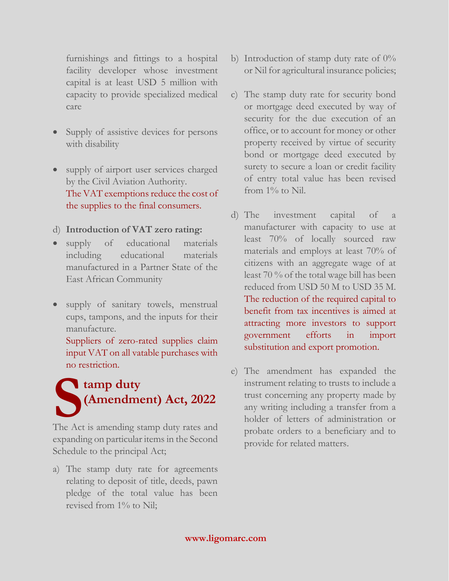furnishings and fittings to a hospital facility developer whose investment capital is at least USD 5 million with capacity to provide specialized medical care

- Supply of assistive devices for persons with disability
- supply of airport user services charged by the Civil Aviation Authority. The VAT exemptions reduce the cost of the supplies to the final consumers.
- d) **Introduction of VAT zero rating:**
- supply of educational materials including educational materials manufactured in a Partner State of the East African Community
- supply of sanitary towels, menstrual cups, tampons, and the inputs for their manufacture.

Suppliers of zero-rated supplies claim input VAT on all vatable purchases with no restriction.



expanding on particular items in the Second Schedule to the principal Act;

a) The stamp duty rate for agreements relating to deposit of title, deeds, pawn pledge of the total value has been revised from  $1\%$  to Nil;

- b) Introduction of stamp duty rate of  $0\%$ or Nil for agricultural insurance policies;
- c) The stamp duty rate for security bond or mortgage deed executed by way of security for the due execution of an office, or to account for money or other property received by virtue of security bond or mortgage deed executed by surety to secure a loan or credit facility of entry total value has been revised from 1% to Nil.
- d) The investment capital of a manufacturer with capacity to use at least 70% of locally sourced raw materials and employs at least 70% of citizens with an aggregate wage of at least 70 % of the total wage bill has been reduced from USD 50 M to USD 35 M. The reduction of the required capital to benefit from tax incentives is aimed at attracting more investors to support government efforts in import substitution and export promotion.
- e) The amendment has expanded the instrument relating to trusts to include a trust concerning any property made by any writing including a transfer from a holder of letters of administration or probate orders to a beneficiary and to provide for related matters.